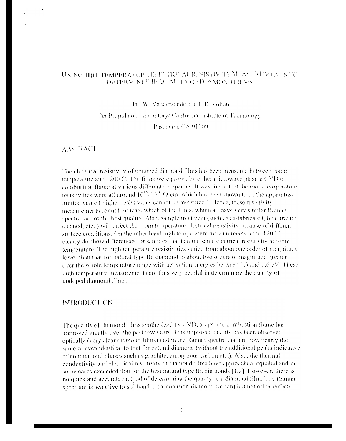# USING HIGH TEMPERATURE ELECTRICAL RESISTIVITY MEASUREM ENTS TO DETERMINE THE QUALITY OF DIA MOND FILMS

Jan W. Vandersande and L.D. Zoltan

Jet Propulsion Laboratory/ California Institute of Technology

Pasadena, CA 91109

#### **ABSTRACT**

The electrical resistivity of undoped diamond films has been measured between room temperature and 1200 C. The films were grown by either microwave plasma CVD or combustion flame at various different companies. It was found that the room temperature resistivities were all around  $10^{15}$ - $10^{16}$   $\Omega$ -cm, which has been shown to be the apparatuslimited value (higher resistivities cannot be measured). Hence, these resistivity measurements cannot indicate which of the films, which all have very similar Raman spectra, are of the best quality. Also, sample treatment (such as as-fabricated, heat treated, eleaned, etc.) will effect the room temperature electrical resistivity because of different surface conditions. On the other hand high temperature measurements up to 1200  $\degree$ clearly do show differences for samples that had the same electrical resistivity at room temperature. The high temperature resistivities varied from about one order of magnitude lower than that for natural type IIa diamond to about two orders of magnitude greater over the whole temperature range with activation energies between  $1.5$  and  $1.6$  eV. These high temperature measurements are thus very helpful in determining the quality of undoped diamond films.

#### INTRODUCT ON

The quality of flamond films synthesized by CVD, arciet and combustion flame has improved greatly over the past few years. This improved quality has been observed optically (very clear diamond films) and in the Raman spectra that are now nearly the same or even identical to that for natural diamond (without the additional peaks indicative of nondiamond phases such as graphite, amorphous carbon etc.). Also, the thermal conductivity and electrical resistivity of diamond films have approached, equaled and in some cases exceeded that for the best natural type IIa diamonds  $[1,2]$ . However, there is no quick and accurate method of determining the quality of a diamond film. The Raman spectrum is sensitive to  $sp<sup>2</sup>$  bonded carbon (non-diamond carbon) but not other defects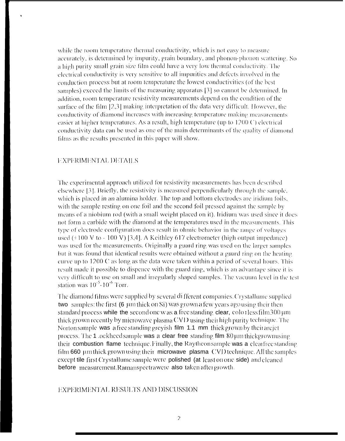while the room temperature thermal conductivity, which is not easy to measure accurately, is determined by impurity, grain boundary, and phonon-phonon scattering. So a high purity small grain size film could have a very low thermal conductivity. The electrical conductivity is very sensitive to all impurities and defects involved in the conduction process but at room temperature the lowest conductivities (of the best samples) exceed the limits of the measuring apparatus [3] so cannot be determined. In addition, room temperature resistivity measurements depend on the condition of the surface of the film [2,3] making interpretation of the data very difficult. However, the conductivity of diamond increases with increasing temperature making measurements easier at higher temperatures. As a result, high temperature (up to 1200 C) electrical conductivity data can be used as one of the main determinants of the quality of diamond films as the results presented in this paper will show.

# **EXPERIMENTAL DETAILS**

The experimental approach utilized for resistivity measurements has been described elsewhere [3]. Briefly, the resistivity is measured perpendicularly through the sample, which is placed in an alumina holder. The top and bottom electrodes are iridium foils, with the sample resting on one foil and the second foil pressed against the sample by means of a niobium rod (with a small weight placed on it), Iridium was used since it does not form a carbide with the diamond at the temperatures used in the measurements. This type of electrode configuration does result in ohmic behavior in the range of voltages used  $(+100 \text{ V to } -100 \text{ V})$  [3,4]. A Keithley 617 electrometer (high output impedance) was used for the measurements. Originally a guard ring was used on the larger samples but it was found that identical results were obtained without a guard ring on the heating curve up to 1200 C as long as the data were taken within a period of several hours. This result made it possible to dispence with the guard ring, which is an advantage since it is very difficult to use on small and irregularly shaped samples. The vacuum level in the test station was  $10^{-5}$ -10<sup>-6</sup> Torr.

The diamond films were supplied by several different companies. Crystallume supplied two samples: the first (6 µm thick on Si) was grown a few years ago using their then standard process while the second one w as a free standing clear, colorless film  $300 \,\mu m$ thick grown recently by microwave plasma CVD using their high purity technique. The Norton sample was a free standing greyish film 1.1 mm thick grown by their arciet process. The 1 lockhood sample was a clear free standing film  $80 \mu m$  thickgrown using their combustion flame technique. Finally, the Raytheon sample was a clearfree standing film 660 um thick grown using their microwave plasma CVD technique. All the samples except tile first Crystallume sample were polished (at least on one side) and cleaned before measurement.Ramanspectrawere also taken after growth.

### EXPERIMENTAL RESULTS AND DISCUSSION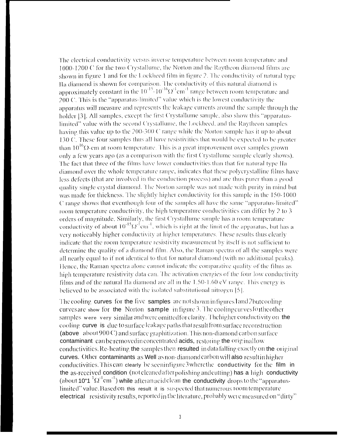The electrical conductivity versus inverse temperature between room temperature and 1000-1200 C for the two Crystallume, the Norton and the Raytheon diamond films are shown in figure 1 and for the Lockheed film in figure 2. The conductivity of natural type Ha diamond is shown for comparison. The conductivity of this natural diamond is approximately constant in the  $10^{-15}$   $10^{-16} \Omega^{-1}$  range between room temperature and  $200 \, \text{C}$ . This is the "apparatus-limited" value which is the lowest conductivity the apparatus will measure and represents the leakage currents around the sample through the holder [3]. All samples, except the first Crystallume sample, also show this "apparatuslimited" value with the second Crystallume, the Lockheed, and the Raytheon samples having this value up to the 200-300 C range while the Norton sample has it up to about 130 C. These four samples thus all have resistivities that would be expected to be greater than  $10^{16} \Omega$ -cm at room temperature. This is a great improvement over samples grown only a few years ago (as a comparison with the first Crystallume sample clearly shows). The fact that three of the films have lower conductivities than that for natural type Ha diamond over the whole temperature range, indicates that these polycrystalline films have less defects (that are involved in the conduction process) and are thus purer than a good quality single crystal diamond. The Norton sample was not made with purity in mind but was made for thickness. The slightly higher conductivity for this sample in the 150-1000 C range shows that eventhough four of the samples all have the same "apparatus-limited" room temperature conductivity, the high temperature conductivities can differ by 2 to 3 orders of magnitude. Similarly, the first Crystallume sample has a room temperature conductivity of about  $10^{-15} \Omega^{-1}$ cm<sup>-1</sup>, which is right at the limit of the apparatus, but has a very noticeably higher conductivity at higher temperatures. These results thus clearly indicate that the room temperature resistivity measurement by itself is not sufficient to determine the quality of a diamond film. Also, the Raman spectra of all the samples were all nearly equal to if not identical to that for natural diamond (with no additional peaks). Hence, the Raman spectra alone cannot indicate the comparative quality of the films as high temperature resistivity data can. The activation energies of the four low conductivity films and of the natural IIa diamond are all in the 1.50-1.60 eV range. This energy is believed to be associated with the isolated substitutional nitrogen [5].

The cooling curves for the five samples are not shown in figures land 2 but cooling curves are show for the Norton sample in figure 3. The cooling curves for the other samples were very similar and were omitted for clarity. The higher conductivity on the cooling curve is due to surface leakage paths that result from surface reconstruction (above about 900 C) and surface graphitization. This non-diamond carbon surface contaminant can be removed in concentrated acids, restoring the original low conductivities. Re-heating the samples then resulted in data falling exactly on the original curves. Other contaminants as Well as non-diamond carbon will also result in higher conductivities. This can clearly be seen infigure 3 where the conductivity for the film in the as-received condition (not cleaned after polishing and cutting) has a high conductivity (about 10"1  ${}^{1}\Omega^{1}$ cm<sup>-1</sup>) while afteran acid clean the conductivity drops to the "apparatuslimited" value. Based on this result it is suspected that numerous room temperature electrical resistivity results, reported in the literature, probably were measured on "dirty"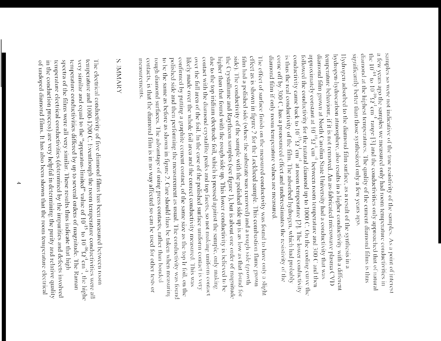a few years ago the samples we measured only had room temperature conductivities in significantly better than those synthesized only a few years ago. diamond at the highest temperatures. The quality of the current diamond films is thus the 10<sup>-14</sup> to 10<sup>-16</sup>2<sup>-1</sup> cm<sup>-1</sup> range [3] and the conductivities only approached that of natural samples so were not indicative of the true resistivity of the samples. As a point of interest

approximately constant at  $10^{-10}\Omega^{-1}$  cm<sup>-1</sup> between room temperature and 300 C and then diamond film grown at North Carolina State University had a conductivity that was temperature behaviour, if it is not removed. An as-fabricated microwave plasma CVD hydrogen-hydrocarbon atmosphere, also results in a higher conductivity with a different Hydrogen adsorbed to the diamond film surface, as a result of the synthesis in a is thus the real conductivity of the film. The adsorbed hydrogen, which had probably conductivity came back to  $10^{-15}\Omega^3$  cm<sup>-1</sup> at room temperature [2]. The lower conductivity followed the conductivity for the natural diamond up to 1000 C. On the cooling curve the diamond film if only room temperature values are measured. come off by 300 C, has a pronounced effect and underestimates the resistivity of the

effect as is shown in figure 2 for the Lockheed sample. This combustion flame grown The effect of surface finish on the measured conductivity was found to have only a slight contact with the diamond crystallite peaks and top facets, so not making uniform contact due to the top iridium electrode foil, which is pressed against the sample, only making higher than that found with the rough side up. This lower conductivity is believed to be the Crystallume and Raytheon samples (see figure 1), but is about one order of magnitude side). The conductivity of the sample with the polished side up is as low as that found for film had a polished side (where the substrate was removed) and a rough side (growth confirmed by putting a graphite cement contact, of the same size as the top Ir foil, on the likely made over the whole foil area and the correct conductivity measured. This was over the full area of the foil. In the case of the polished surface uniform contact is very contacts, is that the diamond film is in no way affected so can be used for other tests or rough diamond surfaces. The advantage of using press contacts, rather than bonded to be the same as before as shown in figure 2. Care should thus be taken when measuring polished side and then performing the measurement as usual. The conductivity was found measurements.

# **SUMMARY**

temperature and 1000-1200 C. Eventhough the room temperature conductivities were all temperature and 1000-1200 C. Eventhough the room temperature conductivities were all very similar and equal to the "apparatus-limited" v The electrical conductivity of five diamond films has been measured between room temperature electrical conductivities (determined by the impurities and defects involved spectra of the films were all very similar. These results thus indicate that high temperature conductivities differed by up to several orders of magnitude. The Raman of undoped diamond films. It has also been shown that the room temperature electrical in the conduction process) are very helpful in determining the purity and relative quality , the highe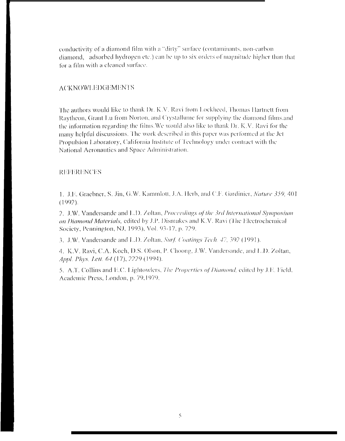conductivity of a diamond film with a "dirty" surface (contaminants, non-carbon diamond, adsorbed hydrogen etc.) can be up to six orders of magnitude higher than that for a film with a cleaned surface.

#### **ACKNOWLEDGEMENTS**

The authors would like to thank Dr. K.V. Ravi from Lockheed, Thomas Hartnett from Raytheon, Grant Lu from Norton, and Crystallume for supplying the diamond films, and the information regarding the films. We would also like to thank Dr. K.V. Ravi for the many helpful discussions. The work described in this paper was performed at the Jet Propulsion Laboratory, California Institute of Technology under contract with the National Aeronautics and Space Administration.

#### **REFERENCES**

1. J.E. Graebner, S. Jin, G.W. Kammlott, J.A. Herb, and C.F. Gardinier, *Nature 359*, 401  $(1992).$ 

2. J.W. Vandersande and L.D. Zoltan, Proceedings of the 3rd International Symposium on Diamond Materials, edited by J.P. Dismukes and K.V. Ravi (The Electrochemical Society, Pennington, NJ, 1993), Vol. 93-17, p. 729.

3. J.W. Vandersande and L.D. Zoltan, Surf. Coatings Tech. 47, 392 (1991).

4. K.V. Ravi, C.A. Koch, D.S. Olson, P. Choong, J.W. Vandersande, and L.D. Zoltan, Appl. Phys. Lett. 64 (17), 2229 (1994).

5. A.T. Collins and E.C. Lightowlers, The Properties of Diamond, edited by J.E. Field, Academic Press, London, p. 79,1979.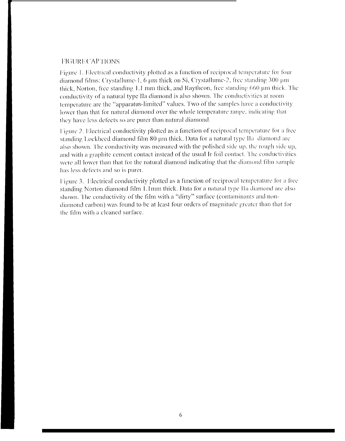#### **FIGURE CAPTIONS**

Figure 1. Electrical conductivity plotted as a function of reciprocal temperature for four diamond films: Crystallume-1, 6 µm thick on Si, Crystallume-2, free standing 300 µm thick, Norton, free standing 1.1 mm thick, and Raytheon, free standing 660 µm thick. The conductivity of a natural type IIa diamond is also shown. The conductivities at room temperature are the "apparatus-limited" values. Two of the samples have a conductivity lower than that for natural diamond over the whole temperature range, indicating that they have less defects so are purer than natural diamond.

Figure 2. Electrical conductivity plotted as a function of reciprocal temperature for a free standing Lockheed diamond film 80 um thick. Data for a natural type IIa diamond are also shown. The conductivity was measured with the polished side up, the rough side up, and with a graphite cement contact instead of the usual Ir foil contact. The conductivities were all lower than that for the natural diamond indicating that the diamond film sample has less defects and so is purer.

Figure 3. Electrical conductivity plotted as a function of reciprocal temperature for a free standing Norton diamond film 1.1mm thick. Data for a natural type IIa diamond are also shown. The conductivity of the film with a "dirty" surface (contaminants and nondiamond carbon) was found to be at least four orders of magnitude greater than that for the film with a cleaned surface.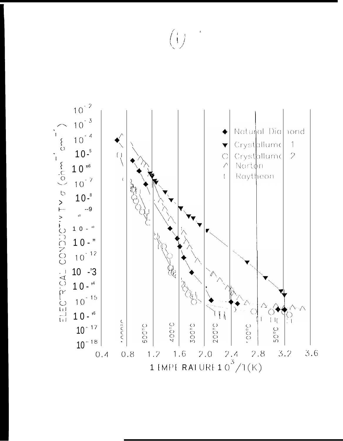



 $\left\{\begin{array}{c} \end{array}\right\}$ 

 $\bigotimes_{i=1}^{\infty}$ 

 $\begin{pmatrix} 1 \\ 1 \end{pmatrix}$ 

**D** 

 $10 - r^4$ 

 $10^{-15}$ 

 $10 - r^6$ 

 $\left(\begin{matrix} 1 \\ 1 \end{matrix}\right)$ 

 $\frac{1}{2}$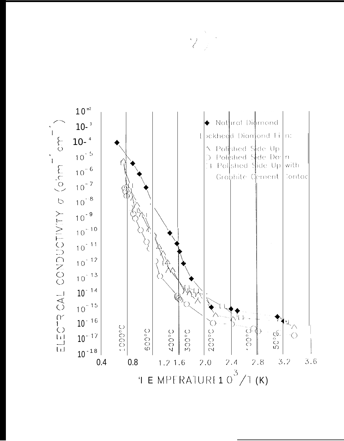